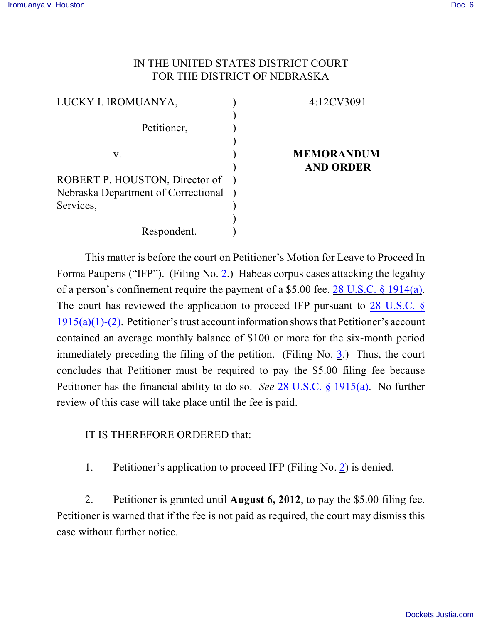## IN THE UNITED STATES DISTRICT COURT FOR THE DISTRICT OF NEBRASKA

| LUCKY I. IROMUANYA,                 | 4:12CV3091        |
|-------------------------------------|-------------------|
| Petitioner,                         |                   |
|                                     |                   |
| V.                                  | <b>MEMORANDUM</b> |
|                                     | <b>AND ORDER</b>  |
| ROBERT P. HOUSTON, Director of      |                   |
| Nebraska Department of Correctional |                   |
| Services,                           |                   |
|                                     |                   |
| Respondent.                         |                   |

This matter is before the court on Petitioner's Motion for Leave to Proceed In Forma Pauperis ("IFP"). (Filing No. [2](http://ecf.ned.uscourts.gov/doc1/11302519825).) Habeas corpus cases attacking the legality of a person's confinement require the payment of a \$5.00 fee. [28 U.S.C. § 1914\(a\)](http://www.westlaw.com/find/default.wl?rs=CLWP3.0&vr=2.0&cite=28+USCA+s+1914%28a%29). The court has reviewed the application to proceed IFP pursuant to  $28$  U.S.C. § [1915\(a\)\(1\)-\(2\)](http://web2.westlaw.com/find/default.wl?fn=_top&rs=WLW8.10&rp=%2ffind%2fdefault.wl&mt=Westlaw&vr=2.0&sv=Split&cite=28+usc+1915). Petitioner's trust account information shows that Petitioner's account contained an average monthly balance of \$100 or more for the six-month period immediately preceding the filing of the petition. (Filing No.  $3$ .) Thus, the court concludes that Petitioner must be required to pay the \$5.00 filing fee because Petitioner has the financial ability to do so. *See* [28 U.S.C. § 1915\(a\)](http://www.westlaw.com/find/default.wl?rs=CLWP3.0&vr=2.0&cite=28+USCA+s+1915%28a%29). No further review of this case will take place until the fee is paid.

IT IS THEREFORE ORDERED that:

1. Petitioner's application to proceed IFP (Filing No. [2](http://ecf.ned.uscourts.gov/doc1/11302519825)) is denied.

2. Petitioner is granted until **August 6, 2012**, to pay the \$5.00 filing fee. Petitioner is warned that if the fee is not paid as required, the court may dismiss this case without further notice.